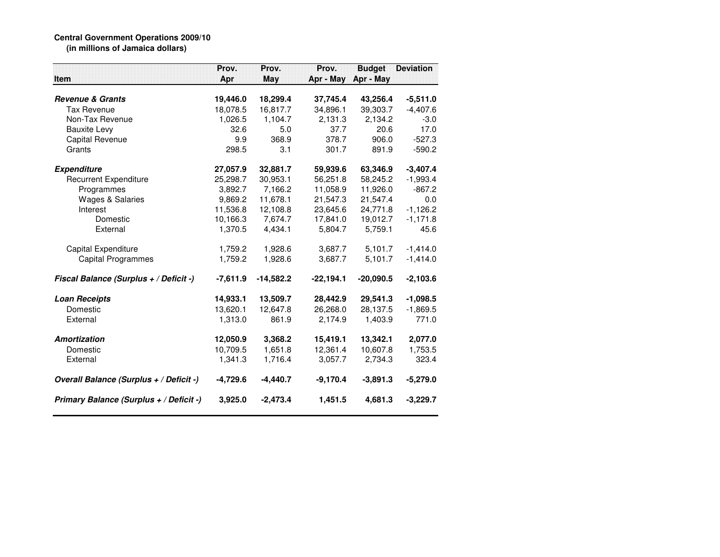## **Central Government Operations 2009/10 (in millions of Jamaica dollars)**

|                                         | Prov.      | Prov.       | Prov.       | <b>Budget</b> | <b>Deviation</b> |
|-----------------------------------------|------------|-------------|-------------|---------------|------------------|
| <b>Item</b>                             | Apr        | May         | Apr - May   | Apr - May     |                  |
|                                         |            |             |             |               |                  |
| <b>Revenue &amp; Grants</b>             | 19,446.0   | 18,299.4    | 37,745.4    | 43,256.4      | $-5,511.0$       |
| <b>Tax Revenue</b>                      | 18,078.5   | 16,817.7    | 34,896.1    | 39,303.7      | $-4,407.6$       |
| Non-Tax Revenue                         | 1,026.5    | 1,104.7     | 2,131.3     | 2,134.2       | $-3.0$           |
| <b>Bauxite Levy</b>                     | 32.6       | 5.0         | 37.7        | 20.6          | 17.0             |
| Capital Revenue                         | 9.9        | 368.9       | 378.7       | 906.0         | $-527.3$         |
| Grants                                  | 298.5      | 3.1         | 301.7       | 891.9         | $-590.2$         |
| <b>Expenditure</b>                      | 27,057.9   | 32,881.7    | 59,939.6    | 63,346.9      | $-3,407.4$       |
| <b>Recurrent Expenditure</b>            | 25,298.7   | 30,953.1    | 56,251.8    | 58,245.2      | $-1,993.4$       |
| Programmes                              | 3,892.7    | 7,166.2     | 11,058.9    | 11,926.0      | $-867.2$         |
| <b>Wages &amp; Salaries</b>             | 9,869.2    | 11,678.1    | 21,547.3    | 21,547.4      | 0.0              |
| Interest                                | 11,536.8   | 12,108.8    | 23,645.6    | 24,771.8      | $-1,126.2$       |
| Domestic                                | 10,166.3   | 7,674.7     | 17,841.0    | 19,012.7      | $-1,171.8$       |
| External                                | 1,370.5    | 4,434.1     | 5,804.7     | 5,759.1       | 45.6             |
| <b>Capital Expenditure</b>              | 1,759.2    | 1,928.6     | 3,687.7     | 5,101.7       | $-1,414.0$       |
| <b>Capital Programmes</b>               | 1,759.2    | 1,928.6     | 3,687.7     | 5,101.7       | $-1,414.0$       |
| Fiscal Balance (Surplus + / Deficit -)  | $-7,611.9$ | $-14,582.2$ | $-22,194.1$ | $-20,090.5$   | $-2,103.6$       |
| <b>Loan Receipts</b>                    | 14,933.1   | 13,509.7    | 28,442.9    | 29,541.3      | $-1,098.5$       |
| Domestic                                | 13,620.1   | 12,647.8    | 26,268.0    | 28,137.5      | $-1,869.5$       |
| External                                | 1,313.0    | 861.9       | 2,174.9     | 1,403.9       | 771.0            |
| Amortization                            | 12,050.9   | 3,368.2     | 15,419.1    | 13,342.1      | 2,077.0          |
| Domestic                                | 10.709.5   | 1.651.8     | 12.361.4    | 10.607.8      | 1,753.5          |
| External                                | 1,341.3    | 1,716.4     | 3,057.7     | 2,734.3       | 323.4            |
| Overall Balance (Surplus + / Deficit -) | $-4,729.6$ | $-4,440.7$  | $-9,170.4$  | $-3,891.3$    | $-5,279.0$       |
| Primary Balance (Surplus + / Deficit -) | 3,925.0    | $-2,473.4$  | 1,451.5     | 4,681.3       | $-3,229.7$       |